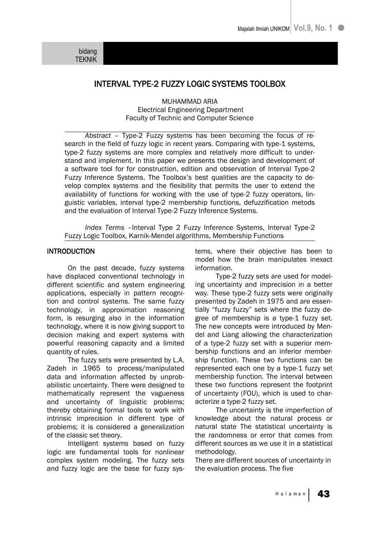# INTERVAL TYPE-2 FUZZY LOGIC SYSTEMS TOOLBOX

MUHAMMAD ARIA Electrical Engineering Department Faculty of Technic and Computer Science

*Abstract –* Type-2 Fuzzy systems has been becoming the focus of research in the field of fuzzy logic in recent years. Comparing with type-1 systems, type-2 fuzzy systems are more complex and relatively more difficult to understand and implement. In this paper we presents the design and development of a software tool for for construction, edition and observation of Interval Type-2 Fuzzy Inference Systems. The Toolbox's best qualities are the capacity to develop complex systems and the flexibility that permits the user to extend the availability of functions for working with the use of type-2 fuzzy operators, linguistic variables, interval type-2 membership functions, defuzzification metods and the evaluation of Interval Type-2 Fuzzy Inference Systems.

*Index Terms –*Interval Type 2 Fuzzy Inference Systems, Interval Type-2 Fuzzy Logic Toolbox, Karnik-Mendel algorithms, Membership Functions

## INTRODUCTION

On the past decade, fuzzy systems have displaced conventional technology in different scientific and system engineering applications, especially in pattern recognition and control systems. The same fuzzy technology, in approximation reasoning form, is resurging also in the information technology, where it is now giving support to decision making and expert systems with powerful reasoning capacity and a limited quantity of rules.

The fuzzy sets were presented by L.A. Zadeh in 1965 to process/manipulated data and information affected by unprobabilistic uncertainty. There were designed to mathematically represent the vagueness and uncertainty of linguistic problems; thereby obtaining formal tools to work with intrinsic imprecision in different type of problems; it is considered a generalization of the classic set theory.

Intelligent systems based on fuzzy logic are fundamental tools for nonlinear complex system modeling. The fuzzy sets and fuzzy logic are the base for fuzzy systems, where their objective has been to model how the brain manipulates inexact information.

Type-2 fuzzy sets are used for modeling uncertainty and imprecision in a better way. These type-2 fuzzy sets were originally presented by Zadeh in 1975 and are essentially "fuzzy fuzzy" sets where the fuzzy degree of membership is a type-1 fuzzy set. The new concepts were introduced by Mendel and Liang allowing the characterization of a type-2 fuzzy set with a superior membership functions and an inferior membership function. These two functions can be represented each one by a type-1 fuzzy set membership function. The interval between these two functions represent the footprint of uncertainty (FOU), which is used to characterize a type-2 fuzzy set.

The uncertainty is the imperfection of knowledge about the natural process or natural state The statistical uncertainty is the randomness or error that comes from different sources as we use it in a statistical methodology.

There are different sources of uncertainty in the evaluation process. The five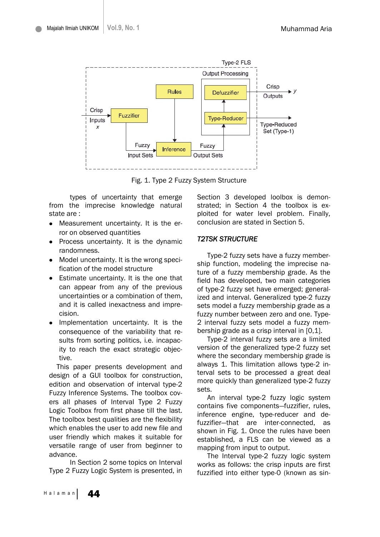

Fig. 1. Type 2 Fuzzy System Structure

types of uncertainty that emerge from the imprecise knowledge natural state are :

- Measurement uncertainty. It is the error on observed quantities
- Process uncertainty. It is the dynamic randomness.
- Model uncertainty. It is the wrong speci- $\bullet$ fication of the model structure
- Estimate uncertainty. It is the one that can appear from any of the previous uncertainties or a combination of them, and it is called inexactness and imprecision.
- Implementation uncertainty. It is the consequence of the variability that results from sorting politics, i.e. incapacity to reach the exact strategic objective.

This paper presents development and design of a GUI toolbox for construction, edition and observation of interval type-2 Fuzzy Inference Systems. The toolbox covers all phases of Interval Type 2 Fuzzy Logic Toolbox from first phase till the last. The toolbox best qualities are the flexibility which enables the user to add new file and user friendly which makes it suitable for versatile range of user from beginner to advance.

In Section 2 some topics on Interval Type 2 Fuzzy Logic System is presented, in Section 3 developed loolbox is demonstrated; in Section 4 the toolbox is exploited for water level problem. Finally, conclusion are stated in Section 5.

### *T2TSK STRUCTURE*

Type-2 fuzzy sets have a fuzzy membership function, modeling the imprecise nature of a fuzzy membership grade. As the field has developed, two main categories of type-2 fuzzy set have emerged; generalized and interval. Generalized type-2 fuzzy sets model a fuzzy membership grade as a fuzzy number between zero and one. Type-2 interval fuzzy sets model a fuzzy membership grade as a crisp interval in [0,1].

Type-2 interval fuzzy sets are a limited version of the generalized type-2 fuzzy set where the secondary membership grade is always 1. This limitation allows type-2 interval sets to be processed a great deal more quickly than generalized type-2 fuzzy sets.

An interval type-2 fuzzy logic system contains five components—fuzzifier, rules, inference engine, type-reducer and defuzzifier—that are inter-connected, as shown in Fig. 1. Once the rules have been established, a FLS can be viewed as a mapping from input to output.

The Interval type-2 fuzzy logic system works as follows: the crisp inputs are first fuzzified into either type-0 (known as sin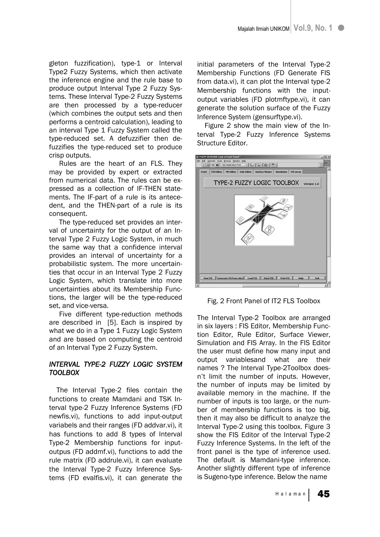gleton fuzzification), type-1 or Interval Type2 Fuzzy Systems, which then activate the inference engine and the rule base to produce output Interval Type 2 Fuzzy Systems. These Interval Type-2 Fuzzy Systems are then processed by a type-reducer (which combines the output sets and then performs a centroid calculation), leading to an interval Type 1 Fuzzy System called the type-reduced set. A defuzzifier then defuzzifies the type-reduced set to produce crisp outputs.

Rules are the heart of an FLS. They may be provided by expert or extracted from numerical data. The rules can be expressed as a collection of IF-THEN statements. The IF-part of a rule is its antecedent, and the THEN-part of a rule is its consequent.

The type-reduced set provides an interval of uncertainty for the output of an Interval Type 2 Fuzzy Logic System, in much the same way that a confidence interval provides an interval of uncertainty for a probabilistic system. The more uncertainties that occur in an Interval Type 2 Fuzzy Logic System, which translate into more uncertainties about its Membership Functions, the larger will be the type-reduced set, and vice-versa.

Five different type-reduction methods are described in [5]. Each is inspired by what we do in a Type 1 Fuzzy Logic System and are based on computing the centroid of an Interval Type 2 Fuzzy System.

# *INTERVAL TYPE-2 FUZZY LOGIC SYSTEM TOOLBOX*

The Interval Type-2 files contain the functions to create Mamdani and TSK Interval type-2 Fuzzy Inference Systems (FD newfis.vi), functions to add input-output variabels and their ranges (FD addvar.vi), it has functions to add 8 types of Interval Type-2 Membership functions for inputoutpus (FD addmf.vi), functions to add the rule matrix (FD addrule.vi), it can evaluate the Interval Type-2 Fuzzy Inference Systems (FD evalfis.vi), it can generate the

initial parameters of the Interval Type-2 Membership Functions (FD Generate FIS from data.vi), it can plot the Interval type-2 Membership functions with the inputoutput variables (FD plotmftype.vi), it can generate the solution surface of the Fuzzy Inference System (gensurftype.vi).

Figure 2 show the main view of the Interval Type-2 Fuzzy Inference Systems Structure Editor.



Fig. 2 Front Panel of IT2 FLS Toolbox

The Interval Type-2 Toolbox are arranged in six layers : FIS Editor, Membership Function Editor, Rule Editor, Surface Viewer, Simulation and FIS Array. In the FIS Editor the user must define how many input and output variablesand what are their names ? The Interval Type-2Toolbox doesn't limit the number of inputs. However, the number of inputs may be limited by available memory in the machine. If the number of inputs is too large, or the number of membership functions is too big, then it may also be difficult to analyze the Interval Type-2 using this toolbox. Figure 3 show the FIS Editor of the Interval Type-2 Fuzzy Inference Systems. In the left of the front panel is the type of inference used. The default is Mamdani-type inference. Another slightly different type of inference is Sugeno-type inference. Below the name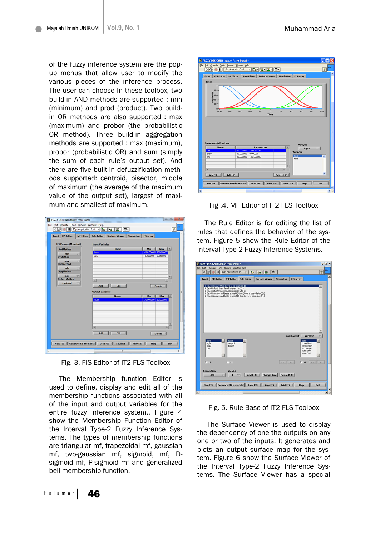of the fuzzy inference system are the popup menus that allow user to modify the various pieces of the inference process. The user can choose In these toolbox, two build-in AND methods are supported : min (minimum) and prod (product). Two buildin OR methods are also supported : max (maximum) and probor (the probabilistic OR method). Three build-in aggregation methods are supported : max (maximum), probor (probabilistic OR) and sum (simply the sum of each rule's output set). And there are five built-in defuzzification methods supported: centroid, bisector, middle of maximum (the average of the maximum value of the output set), largest of maximum and smallest of maximum.

| <b>FIS Process (Mamdani)</b> | <b>Input Variables</b>  |                         |
|------------------------------|-------------------------|-------------------------|
| <b>AndMethod</b>             | <b>Name</b>             | Max<br>Min              |
| min                          | level                   | -100.00000 100.0000     |
| OrMethod                     | rate                    | $-0.250000$<br>0.450000 |
| max                          |                         |                         |
| <b>ImpMethod</b>             |                         |                         |
| min                          |                         |                         |
| <b>AggMethod</b>             |                         |                         |
| max                          |                         |                         |
| <b>DefuzzMethod</b>          | мī                      | ٠                       |
| centroid                     |                         |                         |
|                              | Edit<br>Add             | <b>Delete</b>           |
|                              |                         |                         |
|                              | <b>Output Variables</b> |                         |
|                              | <b>Name</b>             | Min<br>Max<br>×         |
|                              | level                   | $-10.000000$ 10.00000   |
|                              |                         |                         |
|                              |                         |                         |
|                              |                         |                         |
|                              |                         |                         |
|                              |                         |                         |
|                              |                         |                         |
|                              |                         |                         |
|                              | ×                       |                         |
|                              |                         |                         |
|                              | Edit<br>Add             | Delete                  |

Fig. 3. FIS Editor of IT2 FLS Toolbox

The Membership function Editor is used to define, display and edit all of the membership functions associated with all of the input and output variables for the entire fuzzy inference system.. Figure 4 show the Membership Function Editor of the Interval Type-2 Fuzzy Inference Systems. The types of membership functions are triangular mf, trapezoidal mf, gaussian mf, two-gaussian mf, sigmoid, mf, Dsigmoid mf, P-sigmoid mf and generalized bell membership function.



Fig .4. MF Editor of IT2 FLS Toolbox

The Rule Editor is for editing the list of rules that defines the behavior of the system. Figure 5 show the Rule Editor of the Interval Type-2 Fuzzy Inference Systems.

| <b>B. FUZZY DESIGNER tank.vi Front Panel *</b>                                                                                                                                                                                                                                                             | $   \times$ |
|------------------------------------------------------------------------------------------------------------------------------------------------------------------------------------------------------------------------------------------------------------------------------------------------------------|-------------|
| File Edit Operate Tools Browse Window Help                                                                                                                                                                                                                                                                 | FD.<br>分    |
| $  \cdot   _{L^{\infty}}  \widehat{u_{0}}    \widehat{u_{1}}    \widehat{u_{2}}  $<br>O @ II 13pt Application Fork                                                                                                                                                                                         |             |
| Front FIS Editor MF Editor Rule Editor<br>Surface Viewer Simulation FIS array                                                                                                                                                                                                                              |             |
| If (level is okay) then (level is no change)(1)<br>if (level is low) then (level is open fast)(1)<br>if (level is high) then (level is closed fast)(1)<br>if (level is okay) and (rate is positif) then (level is closed slow)(1)<br>if (level is okay) and (rate is negatif) then (level is open slow)(1) | 図           |
| Verbose<br><b>Rule Format</b><br>none<br>none<br>none<br>w<br>high<br>negatif<br>closed fast<br>closed slow<br>positif<br>okave<br>low<br>no change<br>open slow<br>open fast                                                                                                                              | ×           |
| $\Gamma$ not<br>r <sub>ext</sub><br>$cc \rightarrow 3$<br>$r$ <sub>not</sub><br>ec                                                                                                                                                                                                                         | 33          |
| Connection<br>Weight<br>and<br>$\sim$<br><b>Add Rule</b><br><b>Change Rule</b><br>×<br><b>Delete Rule</b>                                                                                                                                                                                                  |             |
| Generate FIS from data Load FIS<br>Save FIS<br><b>Print FIS</b><br>Help<br>New FIS                                                                                                                                                                                                                         | Exit        |
| ×                                                                                                                                                                                                                                                                                                          |             |

Fig. 5. Rule Base of IT2 FLS Toolbox

The Surface Viewer is used to display the dependency of one the outputs on any one or two of the inputs. It generates and plots an output surface map for the system. Figure 6 show the Surface Viewer of the Interval Type-2 Fuzzy Inference Systems. The Surface Viewer has a special

Halaman 46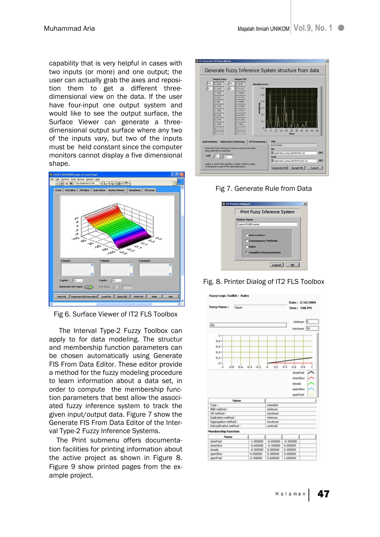capability that is very helpful in cases with two inputs (or more) and one output; the user can actually grab the axes and reposition them to get a different threedimensional view on the data. If the user have four-input one output system and would like to see the output surface, the Surface Viewer can generate a threedimensional output surface where any two of the inputs vary, but two of the inputs must be held constant since the computer monitors cannot display a five dimensional shape.



Fig 6. Surface Viewer of IT2 FLS Toolbox

The Interval Type-2 Fuzzy Toolbox can apply to for data modeling. The structur and membership function parameters can be chosen automatically using Generate FIS From Data Editor. These editor provide a method for the fuzzy modeling procedure to learn information about a data set, in order to compute the membership function parameters that best allow the associated fuzzy inference system to track the given input/output data. Figure 7 show the Generate FIS From Data Editor of the Interval Type-2 Fuzzy Inference Systems.

The Print submenu offers documentation facilities for printing information about the active project as shown in Figure 8. Figure 9 show printed pages from the example project.



Fig 7. Generate Rule from Data

| Print Fuzzy Inference System                                                     |
|----------------------------------------------------------------------------------|
| <b>Printer Name</b>                                                              |
| Canon P1800 series                                                               |
| Antecedence<br>C Consequence/Methods<br>C Rules<br><b>Complete Documentation</b> |
| Cancel<br>$\overline{\mathbf{R}}$                                                |

Fig. 8. Printer Dialog of IT2 FLS Toolbox

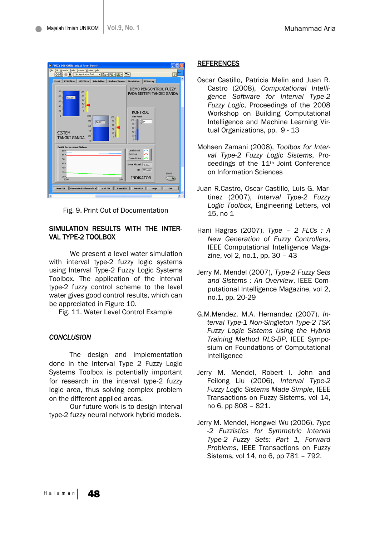

Fig. 9. Print Out of Documentation

### SIMULATION RESULTS WITH THE INTER-VAL TYPE-2 TOOLBOX

We present a level water simulation with interval type-2 fuzzy logic systems using Interval Type-2 Fuzzy Logic Systems Toolbox. The application of the interval type-2 fuzzy control scheme to the level water gives good control results, which can be appreciated in Figure 10.

Fig. 11. Water Level Control Example

#### *CONCLUSION*

The design and implementation done in the Interval Type 2 Fuzzy Logic Systems Toolbox is potentially important for research in the interval type-2 fuzzy logic area, thus solving complex problem on the different applied areas.

Our future work is to design interval type-2 fuzzy neural network hybrid models.

#### **REFERENCES**

- Oscar Castillo, Patricia Melin and Juan R. Castro (2008), *Computational Intelligence Software for Interval Type-2 Fuzzy Logic*, Proceedings of the 2008 Workshop on Building Computational Intelligence and Machine Learning Virtual Organizations, pp. 9 - 13
- Mohsen Zamani (2008), *Toolbox for Interval Type-2 Fuzzy Logic Sistems*, Proceedings of the 11th Joint Conference on Information Sciences
- Juan R.Castro, Oscar Castillo, Luis G. Martinez (2007), *Interval Type-2 Fuzzy Logic Toolbox*, Engineering Letters, vol 15, no 1
- Hani Hagras (2007), *Type – 2 FLCs : A New Generation of Fuzzy Controllers*, IEEE Computational Intelligence Magazine, vol 2, no.1, pp. 30 – 43
- Jerry M. Mendel (2007), *Type-2 Fuzzy Sets and Sistems : An Overview*, IEEE Computational Intelligence Magazine, vol 2, no.1, pp. 20-29
- G.M.Mendez, M.A. Hernandez (2007), *Interval Type-1 Non-Singleton Type-2 TSK Fuzzy Logic Sistems Using the Hybrid Training Method RLS-BP*, IEEE Symposium on Foundations of Computational Intelligence
- Jerry M. Mendel, Robert I. John and Feilong Liu (2006), *Interval Type-2 Fuzzy Logic Sistems Made Simple*, IEEE Transactions on Fuzzy Sistems, vol 14, no 6, pp 808 – 821.
- Jerry M. Mendel, Hongwei Wu (2006), *Type -2 Fuzzistics for Symmetric Interval Type-2 Fuzzy Sets: Part 1, Forward Problems*, IEEE Transactions on Fuzzy Sistems, vol 14, no 6, pp 781 – 792.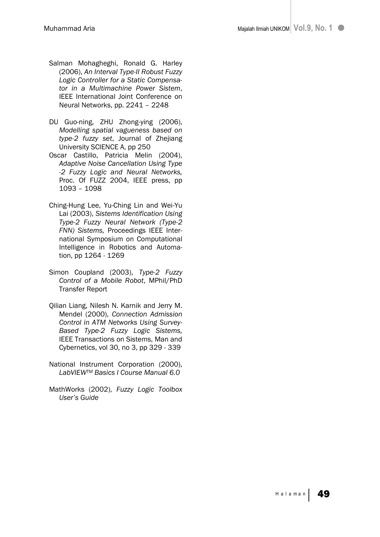- Salman Mohagheghi, Ronald G. Harley (2006), *An Interval Type-II Robust Fuzzy Logic Controller for a Static Compensator in a Multimachine Power Sistem*, IEEE International Joint Conference on Neural Networks, pp. 2241 – 2248
- DU Guo-ning, ZHU Zhong-ying (2006), *Modelling spatial vagueness based on type-2 fuzzy set*, Journal of Zhejiang University SCIENCE A, pp 250
- Oscar Castillo, Patricia Melin (2004), *Adaptive Noise Cancellation Using Type -2 Fuzzy Logic and Neural Networks,* Proc. Of FUZZ 2004, IEEE press, pp 1093 – 1098
- Ching-Hung Lee, Yu-Ching Lin and Wei-Yu Lai (2003), *Sistems Identification Using Type-2 Fuzzy Neural Network (Type-2 FNN) Sistems,* Proceedings IEEE International Symposium on Computational Intelligence in Robotics and Automation, pp 1264 - 1269
- Simon Coupland (2003), *Type-2 Fuzzy Control of a Mobile Robot*, MPhil/PhD Transfer Report
- Qilian Liang, Nilesh N. Karnik and Jerry M. Mendel (2000), *Connection Admission Control in ATM Networks Using Survey-Based Type-2 Fuzzy Logic Sistems,*  IEEE Transactions on Sistems, Man and Cybernetics, vol 30, no 3, pp 329 - 339
- National Instrument Corporation (2000), *LabVIEWTM Basics I Course Manual 6.0*
- MathWorks (2002), *Fuzzy Logic Toolbox User's Guide*